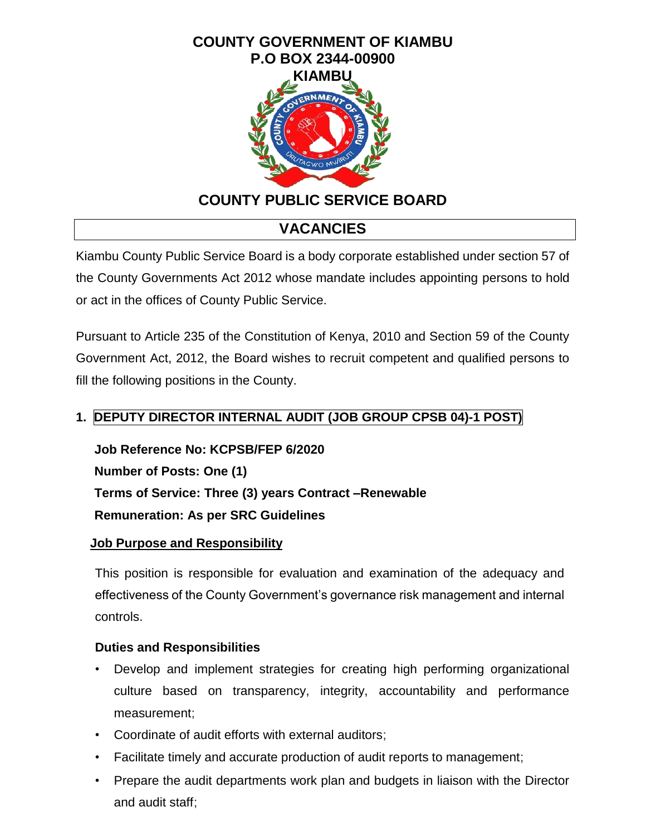

# **COUNTY PUBLIC SERVICE BOARD**

# **VACANCIES**

Kiambu County Public Service Board is a body corporate established under section 57 of the County Governments Act 2012 whose mandate includes appointing persons to hold or act in the offices of County Public Service.

Pursuant to Article 235 of the Constitution of Kenya, 2010 and Section 59 of the County Government Act, 2012, the Board wishes to recruit competent and qualified persons to fill the following positions in the County.

## **1. DEPUTY DIRECTOR INTERNAL AUDIT (JOB GROUP CPSB 04)-1 POST)**

**Job Reference No: KCPSB/FEP 6/2020 Number of Posts: One (1) Terms of Service: Three (3) years Contract –Renewable Remuneration: As per SRC Guidelines** 

#### **Job Purpose and Responsibility**

This position is responsible for evaluation and examination of the adequacy and effectiveness of the County Government's governance risk management and internal controls.

## **Duties and Responsibilities**

- Develop and implement strategies for creating high performing organizational culture based on transparency, integrity, accountability and performance measurement;
- Coordinate of audit efforts with external auditors;
- Facilitate timely and accurate production of audit reports to management;
- Prepare the audit departments work plan and budgets in liaison with the Director and audit staff;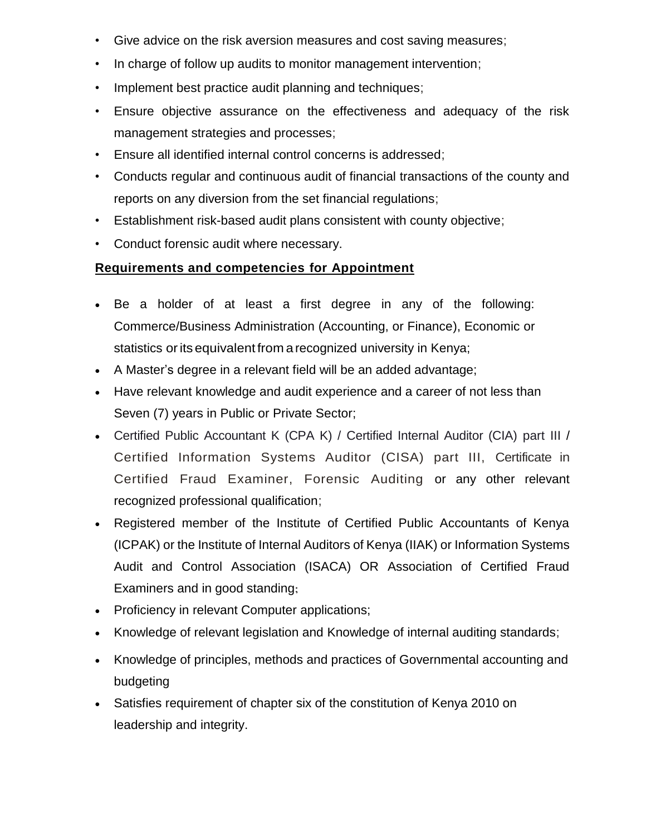- Give advice on the risk aversion measures and cost saving measures;
- In charge of follow up audits to monitor management intervention;
- Implement best practice audit planning and techniques;
- Ensure objective assurance on the effectiveness and adequacy of the risk management strategies and processes;
- Ensure all identified internal control concerns is addressed;
- Conducts regular and continuous audit of financial transactions of the county and reports on any diversion from the set financial regulations;
- Establishment risk-based audit plans consistent with county objective;
- Conduct forensic audit where necessary.

#### **Requirements and competencies for Appointment**

- Be a holder of at least a first degree in any of the following: Commerce/Business Administration (Accounting, or Finance), Economic or statistics or its equivalent from a recognized university in Kenya;
- A Master's degree in a relevant field will be an added advantage;
- Have relevant knowledge and audit experience and a career of not less than Seven (7) years in Public or Private Sector;
- Certified Public Accountant K (CPA K) / Certified Internal Auditor (CIA) part III / Certified Information Systems Auditor (CISA) part III, Certificate in Certified Fraud Examiner, Forensic Auditing or any other relevant recognized professional qualification;
- Registered member of the Institute of Certified Public Accountants of Kenya (ICPAK) or the Institute of Internal Auditors of Kenya (IIAK) or Information Systems Audit and Control Association (ISACA) OR Association of Certified Fraud Examiners and in good standing;
- Proficiency in relevant Computer applications;
- Knowledge of relevant legislation and Knowledge of internal auditing standards;
- Knowledge of principles, methods and practices of Governmental accounting and budgeting
- Satisfies requirement of chapter six of the constitution of Kenya 2010 on leadership and integrity.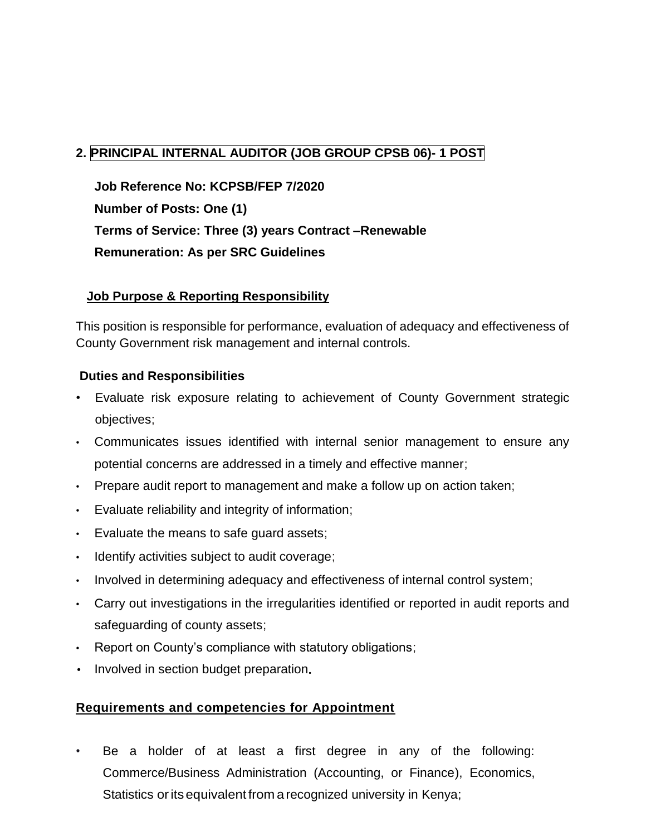# **2. PRINCIPAL INTERNAL AUDITOR (JOB GROUP CPSB 06)- 1 POST**

**Job Reference No: KCPSB/FEP 7/2020 Number of Posts: One (1) Terms of Service: Three (3) years Contract –Renewable Remuneration: As per SRC Guidelines** 

#### **Job Purpose & Reporting Responsibility**

This position is responsible for performance, evaluation of adequacy and effectiveness of County Government risk management and internal controls.

#### **Duties and Responsibilities**

- Evaluate risk exposure relating to achievement of County Government strategic objectives;
- Communicates issues identified with internal senior management to ensure any potential concerns are addressed in a timely and effective manner;
- Prepare audit report to management and make a follow up on action taken;
- Evaluate reliability and integrity of information;
- Evaluate the means to safe guard assets;
- Identify activities subject to audit coverage;
- Involved in determining adequacy and effectiveness of internal control system;
- Carry out investigations in the irregularities identified or reported in audit reports and safeguarding of county assets;
- Report on County's compliance with statutory obligations;
- Involved in section budget preparation.

#### **Requirements and competencies for Appointment**

Be a holder of at least a first degree in any of the following: Commerce/Business Administration (Accounting, or Finance), Economics, Statistics or its equivalent from a recognized university in Kenya;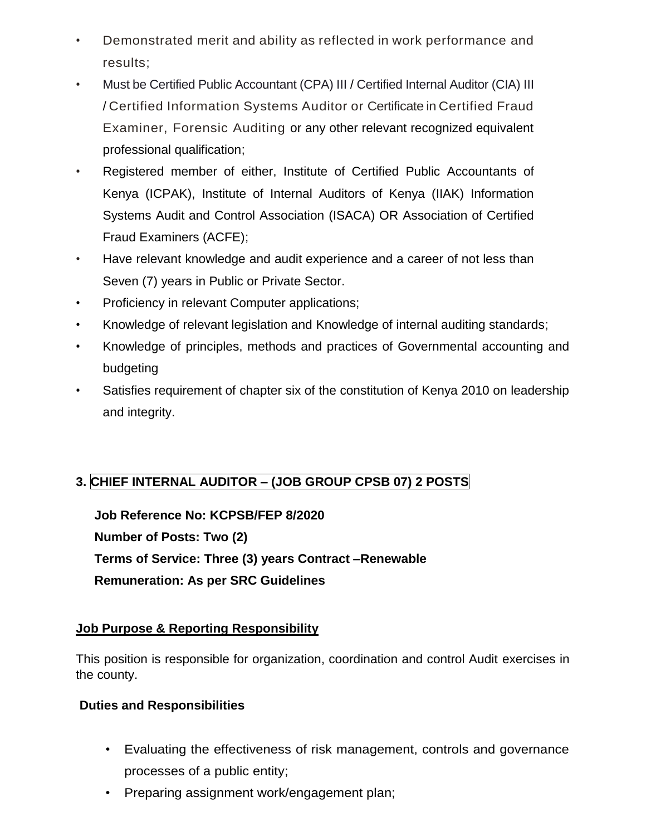- *•* Demonstrated merit and ability as reflected in work performance and results;
- *•* Must be Certified Public Accountant (CPA) III / Certified Internal Auditor (CIA) III / Certified Information Systems Auditor or Certificate in Certified Fraud Examiner, Forensic Auditing or any other relevant recognized equivalent professional qualification;
- *•* Registered member of either, Institute of Certified Public Accountants of Kenya (ICPAK), Institute of Internal Auditors of Kenya (IIAK) Information Systems Audit and Control Association (ISACA) OR Association of Certified Fraud Examiners (ACFE);
- *•* Have relevant knowledge and audit experience and a career of not less than Seven (7) years in Public or Private Sector.
- **Proficiency in relevant Computer applications;**
- *•* Knowledge of relevant legislation and Knowledge of internal auditing standards;
- *•* Knowledge of principles, methods and practices of Governmental accounting and budgeting
- *•* Satisfies requirement of chapter six of the constitution of Kenya 2010 on leadership and integrity.

# **3. CHIEF INTERNAL AUDITOR – (JOB GROUP CPSB 07) 2 POSTS**

**Job Reference No: KCPSB/FEP 8/2020 Number of Posts: Two (2) Terms of Service: Three (3) years Contract –Renewable Remuneration: As per SRC Guidelines**

#### **Job Purpose & Reporting Responsibility**

This position is responsible for organization, coordination and control Audit exercises in the county.

#### **Duties and Responsibilities**

- Evaluating the effectiveness of risk management, controls and governance processes of a public entity;
- Preparing assignment work/engagement plan;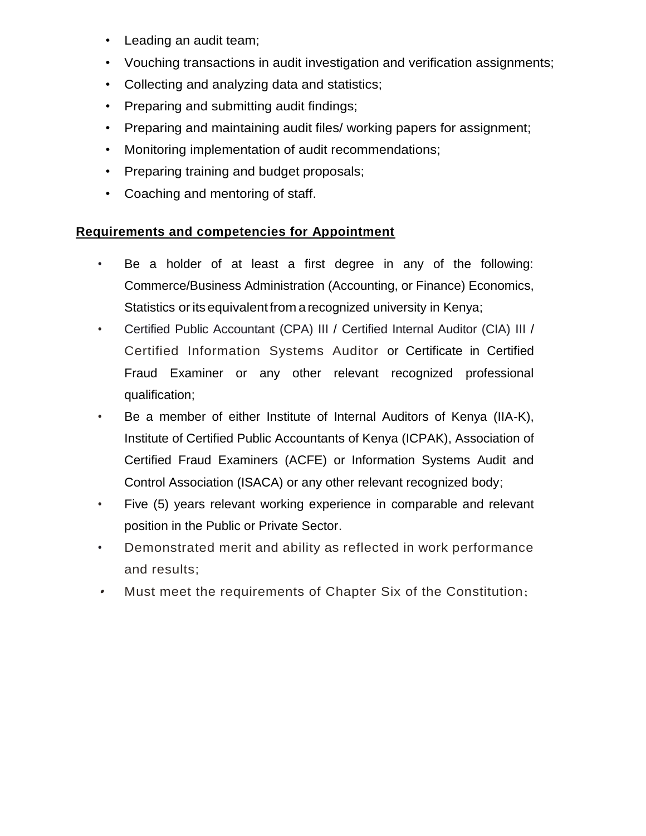- Leading an audit team;
- Vouching transactions in audit investigation and verification assignments;
- Collecting and analyzing data and statistics;
- Preparing and submitting audit findings;
- Preparing and maintaining audit files/ working papers for assignment;
- Monitoring implementation of audit recommendations;
- Preparing training and budget proposals;
- Coaching and mentoring of staff.

## **Requirements and competencies for Appointment**

- *•* Be a holder of at least a first degree in any of the following: Commerce/Business Administration (Accounting, or Finance) Economics, Statistics or its equivalent from a recognized university in Kenya;
- *•* Certified Public Accountant (CPA) III / Certified Internal Auditor (CIA) III / Certified Information Systems Auditor or Certificate in Certified Fraud Examiner or any other relevant recognized professional qualification;
- *•* Be a member of either Institute of Internal Auditors of Kenya (IIA-K), Institute of Certified Public Accountants of Kenya (ICPAK), Association of Certified Fraud Examiners (ACFE) or Information Systems Audit and Control Association (ISACA) or any other relevant recognized body;
- *•* Five (5) years relevant working experience in comparable and relevant position in the Public or Private Sector.
- *•* Demonstrated merit and ability as reflected in work performance and results;
- •Must meet the requirements of Chapter Six of the Constitution;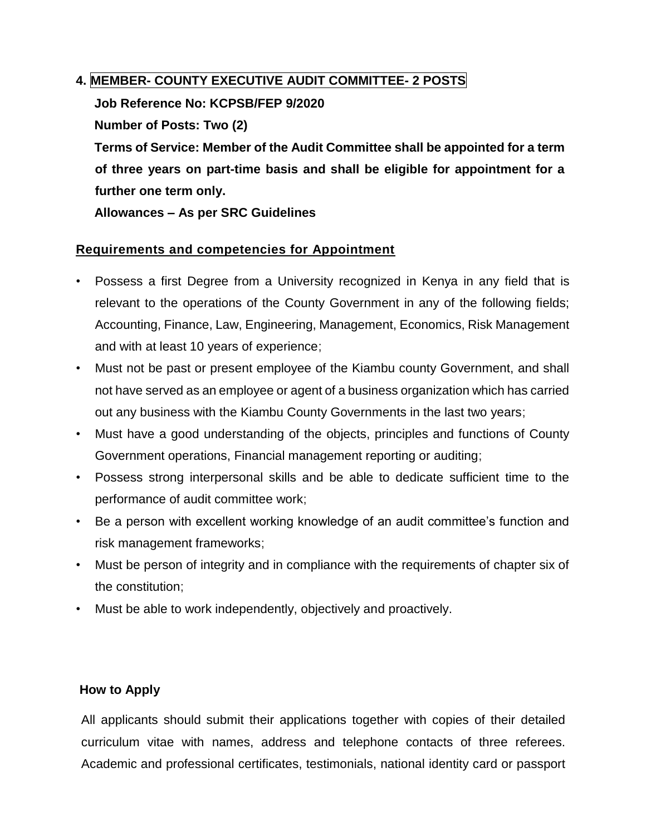### **4. MEMBER- COUNTY EXECUTIVE AUDIT COMMITTEE- 2 POSTS**

**Job Reference No: KCPSB/FEP 9/2020**

**Number of Posts: Two (2)**

**Terms of Service: Member of the Audit Committee shall be appointed for a term of three years on part-time basis and shall be eligible for appointment for a further one term only.**

**Allowances – As per SRC Guidelines** 

#### **Requirements and competencies for Appointment**

- Possess a first Degree from a University recognized in Kenya in any field that is relevant to the operations of the County Government in any of the following fields; Accounting, Finance, Law, Engineering, Management, Economics, Risk Management and with at least 10 years of experience;
- Must not be past or present employee of the Kiambu county Government, and shall not have served as an employee or agent of a business organization which has carried out any business with the Kiambu County Governments in the last two years;
- Must have a good understanding of the objects, principles and functions of County Government operations, Financial management reporting or auditing;
- Possess strong interpersonal skills and be able to dedicate sufficient time to the performance of audit committee work;
- Be a person with excellent working knowledge of an audit committee's function and risk management frameworks;
- Must be person of integrity and in compliance with the requirements of chapter six of the constitution;
- Must be able to work independently, objectively and proactively.

#### **How to Apply**

All applicants should submit their applications together with copies of their detailed curriculum vitae with names, address and telephone contacts of three referees. Academic and professional certificates, testimonials, national identity card or passport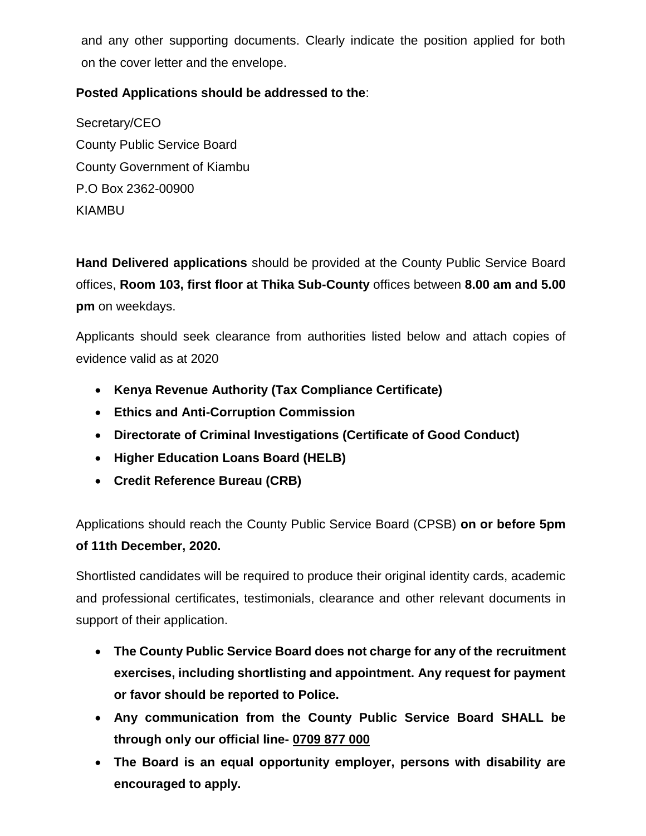and any other supporting documents. Clearly indicate the position applied for both on the cover letter and the envelope.

### **Posted Applications should be addressed to the**:

Secretary/CEO County Public Service Board County Government of Kiambu P.O Box 2362-00900 KIAMBU

**Hand Delivered applications** should be provided at the County Public Service Board offices, **Room 103, first floor at Thika Sub-County** offices between **8.00 am and 5.00 pm** on weekdays.

Applicants should seek clearance from authorities listed below and attach copies of evidence valid as at 2020

- **Kenya Revenue Authority (Tax Compliance Certificate)**
- **Ethics and Anti-Corruption Commission**
- **Directorate of Criminal Investigations (Certificate of Good Conduct)**
- **Higher Education Loans Board (HELB)**
- **Credit Reference Bureau (CRB)**

Applications should reach the County Public Service Board (CPSB) **on or before 5pm of 11th December, 2020.**

Shortlisted candidates will be required to produce their original identity cards, academic and professional certificates, testimonials, clearance and other relevant documents in support of their application.

- **The County Public Service Board does not charge for any of the recruitment exercises, including shortlisting and appointment. Any request for payment or favor should be reported to Police.**
- **Any communication from the County Public Service Board SHALL be through only our official line- 0709 877 000**
- **The Board is an equal opportunity employer, persons with disability are encouraged to apply.**